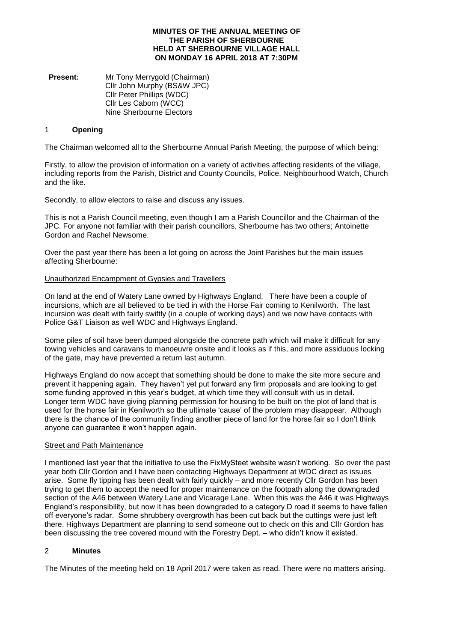#### **MINUTES OF THE ANNUAL MEETING OF THE PARISH OF SHERBOURNE HELD AT SHERBOURNE VILLAGE HALL ON MONDAY 16 APRIL 2018 AT 7:30PM**

**Present:** Mr Tony Merrygold (Chairman) Cllr John Murphy (BS&W JPC) Cllr Peter Phillips (WDC) Cllr Les Caborn (WCC) Nine Sherbourne Electors

### 1 **Opening**

The Chairman welcomed all to the Sherbourne Annual Parish Meeting, the purpose of which being:

Firstly, to allow the provision of information on a variety of activities affecting residents of the village, including reports from the Parish, District and County Councils, Police, Neighbourhood Watch, Church and the like.

Secondly, to allow electors to raise and discuss any issues.

This is not a Parish Council meeting, even though I am a Parish Councillor and the Chairman of the JPC. For anyone not familiar with their parish councillors, Sherbourne has two others; Antoinette Gordon and Rachel Newsome.

Over the past year there has been a lot going on across the Joint Parishes but the main issues affecting Sherbourne:

#### Unauthorized Encampment of Gypsies and Travellers

On land at the end of Watery Lane owned by Highways England. There have been a couple of incursions, which are all believed to be tied in with the Horse Fair coming to Kenilworth. The last incursion was dealt with fairly swiftly (in a couple of working days) and we now have contacts with Police G&T Liaison as well WDC and Highways England.

Some piles of soil have been dumped alongside the concrete path which will make it difficult for any towing vehicles and caravans to manoeuvre onsite and it looks as if this, and more assiduous locking of the gate, may have prevented a return last autumn.

Highways England do now accept that something should be done to make the site more secure and prevent it happening again. They haven't yet put forward any firm proposals and are looking to get some funding approved in this year's budget, at which time they will consult with us in detail. Longer term WDC have giving planning permission for housing to be built on the plot of land that is used for the horse fair in Kenilworth so the ultimate 'cause' of the problem may disappear. Although there is the chance of the community finding another piece of land for the horse fair so I don't think anyone can guarantee it won't happen again.

#### Street and Path Maintenance

I mentioned last year that the initiative to use the FixMySteet website wasn't working. So over the past year both Cllr Gordon and I have been contacting Highways Department at WDC direct as issues arise. Some fly tipping has been dealt with fairly quickly – and more recently Cllr Gordon has been trying to get them to accept the need for proper maintenance on the footpath along the downgraded section of the A46 between Watery Lane and Vicarage Lane. When this was the A46 it was Highways England's responsibility, but now it has been downgraded to a category D road it seems to have fallen off everyone's radar. Some shrubbery overgrowth has been cut back but the cuttings were just left there. Highways Department are planning to send someone out to check on this and Cllr Gordon has been discussing the tree covered mound with the Forestry Dept. – who didn't know it existed.

# 2 **Minutes**

The Minutes of the meeting held on 18 April 2017 were taken as read. There were no matters arising.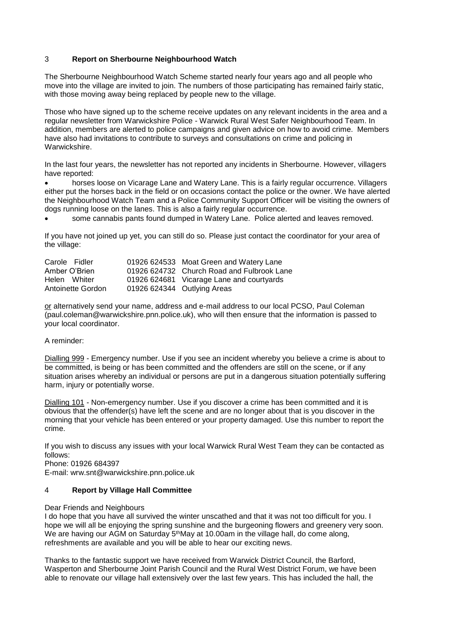# 3 **Report on Sherbourne Neighbourhood Watch**

The Sherbourne Neighbourhood Watch Scheme started nearly four years ago and all people who move into the village are invited to join. The numbers of those participating has remained fairly static, with those moving away being replaced by people new to the village.

Those who have signed up to the scheme receive updates on any relevant incidents in the area and a regular newsletter from Warwickshire Police - Warwick Rural West Safer Neighbourhood Team. In addition, members are alerted to police campaigns and given advice on how to avoid crime. Members have also had invitations to contribute to surveys and consultations on crime and policing in Warwickshire.

In the last four years, the newsletter has not reported any incidents in Sherbourne. However, villagers have reported:

• horses loose on Vicarage Lane and Watery Lane. This is a fairly regular occurrence. Villagers either put the horses back in the field or on occasions contact the police or the owner. We have alerted the Neighbourhood Watch Team and a Police Community Support Officer will be visiting the owners of dogs running loose on the lanes. This is also a fairly regular occurrence.

• some cannabis pants found dumped in Watery Lane. Police alerted and leaves removed.

If you have not joined up yet, you can still do so. Please just contact the coordinator for your area of the village:

| Carole Fidler     | 01926 624533 Moat Green and Watery Lane    |
|-------------------|--------------------------------------------|
| Amber O'Brien     | 01926 624732 Church Road and Fulbrook Lane |
| Helen Whiter      | 01926 624681 Vicarage Lane and courtyards  |
| Antoinette Gordon | 01926 624344 Outlying Areas                |

or alternatively send your name, address and e-mail address to our local PCSO, Paul Coleman (paul.coleman@warwickshire.pnn.police.uk), who will then ensure that the information is passed to your local coordinator.

## A reminder:

Dialling 999 - Emergency number. Use if you see an incident whereby you believe a crime is about to be committed, is being or has been committed and the offenders are still on the scene, or if any situation arises whereby an individual or persons are put in a dangerous situation potentially suffering harm, injury or potentially worse.

Dialling 101 - Non-emergency number. Use if you discover a crime has been committed and it is obvious that the offender(s) have left the scene and are no longer about that is you discover in the morning that your vehicle has been entered or your property damaged. Use this number to report the crime.

If you wish to discuss any issues with your local Warwick Rural West Team they can be contacted as follows:

Phone: 01926 684397

E-mail: wrw.snt@warwickshire.pnn.police.uk

## 4 **Report by Village Hall Committee**

Dear Friends and Neighbours

I do hope that you have all survived the winter unscathed and that it was not too difficult for you. I hope we will all be enjoying the spring sunshine and the burgeoning flowers and greenery very soon. We are having our AGM on Saturday 5<sup>th</sup>May at 10.00am in the village hall, do come along, refreshments are available and you will be able to hear our exciting news.

Thanks to the fantastic support we have received from Warwick District Council, the Barford, Wasperton and Sherbourne Joint Parish Council and the Rural West District Forum, we have been able to renovate our village hall extensively over the last few years. This has included the hall, the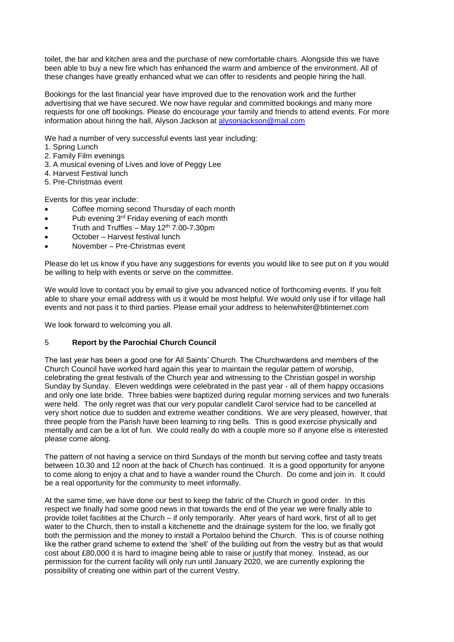toilet, the bar and kitchen area and the purchase of new comfortable chairs. Alongside this we have been able to buy a new fire which has enhanced the warm and ambience of the environment. All of these changes have greatly enhanced what we can offer to residents and people hiring the hall.

Bookings for the last financial year have improved due to the renovation work and the further advertising that we have secured. We now have regular and committed bookings and many more requests for one off bookings. Please do encourage your family and friends to attend events. For more information about hiring the hall, Alyson Jackson at [alysonjackson@mail.com](mailto:alysonjackson@mail.com)

We had a number of very successful events last year including:

- 1. Spring Lunch
- 2. Family Film evenings
- 3. A musical evening of Lives and love of Peggy Lee
- 4. Harvest Festival lunch
- 5. Pre-Christmas event

Events for this year include:

- Coffee morning second Thursday of each month
- Pub evening 3<sup>rd</sup> Friday evening of each month
- Truth and Truffles May  $12<sup>th</sup>$  7.00-7.30pm
- October Harvest festival lunch
- November Pre-Christmas event

Please do let us know if you have any suggestions for events you would like to see put on if you would be willing to help with events or serve on the committee.

We would love to contact you by email to give you advanced notice of forthcoming events. If you felt able to share your email address with us it would be most helpful. We would only use if for village hall events and not pass it to third parties. Please email your address to helenwhiter@btinternet.com

We look forward to welcoming you all.

#### 5 **Report by the Parochial Church Council**

The last year has been a good one for All Saints' Church. The Churchwardens and members of the Church Council have worked hard again this year to maintain the regular pattern of worship, celebrating the great festivals of the Church year and witnessing to the Christian gospel in worship Sunday by Sunday. Eleven weddings were celebrated in the past year - all of them happy occasions and only one late bride. Three babies were baptized during regular morning services and two funerals were held. The only regret was that our very popular candlelit Carol service had to be cancelled at very short notice due to sudden and extreme weather conditions. We are very pleased, however, that three people from the Parish have been learning to ring bells. This is good exercise physically and mentally and can be a lot of fun. We could really do with a couple more so if anyone else is interested please come along.

The pattern of not having a service on third Sundays of the month but serving coffee and tasty treats between 10.30 and 12 noon at the back of Church has continued. It is a good opportunity for anyone to come along to enjoy a chat and to have a wander round the Church. Do come and join in. It could be a real opportunity for the community to meet informally.

At the same time, we have done our best to keep the fabric of the Church in good order. In this respect we finally had some good news in that towards the end of the year we were finally able to provide toilet facilities at the Church – if only temporarily. After years of hard work, first of all to get water to the Church, then to install a kitchenette and the drainage system for the loo, we finally got both the permission and the money to install a Portaloo behind the Church. This is of course nothing like the rather grand scheme to extend the 'shell' of the building out from the vestry but as that would cost about £80,000 it is hard to imagine being able to raise or justify that money. Instead, as our permission for the current facility will only run until January 2020, we are currently exploring the possibility of creating one within part of the current Vestry.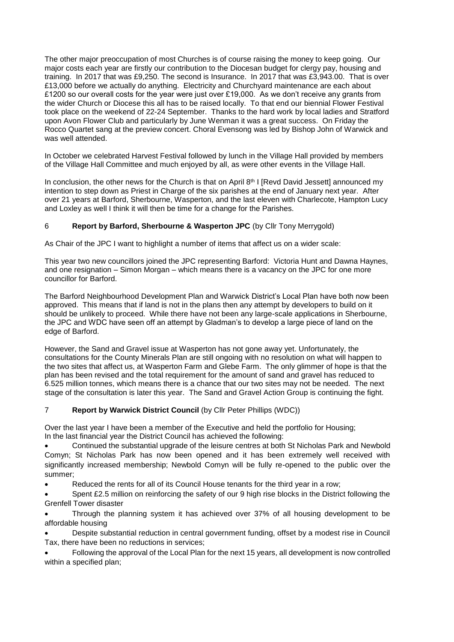The other major preoccupation of most Churches is of course raising the money to keep going. Our major costs each year are firstly our contribution to the Diocesan budget for clergy pay, housing and training. In 2017 that was £9,250. The second is Insurance. In 2017 that was £3,943.00. That is over £13,000 before we actually do anything. Electricity and Churchyard maintenance are each about £1200 so our overall costs for the year were just over £19,000. As we don't receive any grants from the wider Church or Diocese this all has to be raised locally. To that end our biennial Flower Festival took place on the weekend of 22-24 September. Thanks to the hard work by local ladies and Stratford upon Avon Flower Club and particularly by June Wenman it was a great success. On Friday the Rocco Quartet sang at the preview concert. Choral Evensong was led by Bishop John of Warwick and was well attended.

In October we celebrated Harvest Festival followed by lunch in the Village Hall provided by members of the Village Hall Committee and much enjoyed by all, as were other events in the Village Hall.

In conclusion, the other news for the Church is that on April 8th I [Revd David Jessett] announced my intention to step down as Priest in Charge of the six parishes at the end of January next year. After over 21 years at Barford, Sherbourne, Wasperton, and the last eleven with Charlecote, Hampton Lucy and Loxley as well I think it will then be time for a change for the Parishes.

# 6 **Report by Barford, Sherbourne & Wasperton JPC** (by Cllr Tony Merrygold)

As Chair of the JPC I want to highlight a number of items that affect us on a wider scale:

This year two new councillors joined the JPC representing Barford: Victoria Hunt and Dawna Haynes, and one resignation – Simon Morgan – which means there is a vacancy on the JPC for one more councillor for Barford.

The Barford Neighbourhood Development Plan and Warwick District's Local Plan have both now been approved. This means that if land is not in the plans then any attempt by developers to build on it should be unlikely to proceed. While there have not been any large-scale applications in Sherbourne, the JPC and WDC have seen off an attempt by Gladman's to develop a large piece of land on the edge of Barford.

However, the Sand and Gravel issue at Wasperton has not gone away yet. Unfortunately, the consultations for the County Minerals Plan are still ongoing with no resolution on what will happen to the two sites that affect us, at Wasperton Farm and Glebe Farm. The only glimmer of hope is that the plan has been revised and the total requirement for the amount of sand and gravel has reduced to 6.525 million tonnes, which means there is a chance that our two sites may not be needed. The next stage of the consultation is later this year. The Sand and Gravel Action Group is continuing the fight.

## 7 **Report by Warwick District Council** (by Cllr Peter Phillips (WDC))

Over the last year I have been a member of the Executive and held the portfolio for Housing; In the last financial year the District Council has achieved the following:

• Continued the substantial upgrade of the leisure centres at both St Nicholas Park and Newbold Comyn; St Nicholas Park has now been opened and it has been extremely well received with significantly increased membership; Newbold Comyn will be fully re-opened to the public over the summer;

• Reduced the rents for all of its Council House tenants for the third year in a row;

Spent £2.5 million on reinforcing the safety of our 9 high rise blocks in the District following the Grenfell Tower disaster

• Through the planning system it has achieved over 37% of all housing development to be affordable housing

• Despite substantial reduction in central government funding, offset by a modest rise in Council Tax, there have been no reductions in services;

• Following the approval of the Local Plan for the next 15 years, all development is now controlled within a specified plan;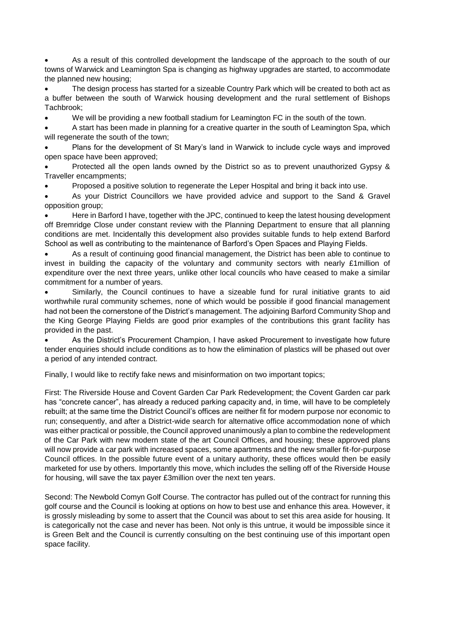• As a result of this controlled development the landscape of the approach to the south of our towns of Warwick and Leamington Spa is changing as highway upgrades are started, to accommodate the planned new housing;

• The design process has started for a sizeable Country Park which will be created to both act as a buffer between the south of Warwick housing development and the rural settlement of Bishops Tachbrook;

• We will be providing a new football stadium for Leamington FC in the south of the town.

• A start has been made in planning for a creative quarter in the south of Leamington Spa, which will regenerate the south of the town;

• Plans for the development of St Mary's land in Warwick to include cycle ways and improved open space have been approved;

• Protected all the open lands owned by the District so as to prevent unauthorized Gypsy & Traveller encampments;

• Proposed a positive solution to regenerate the Leper Hospital and bring it back into use.

As your District Councillors we have provided advice and support to the Sand & Gravel opposition group;

• Here in Barford I have, together with the JPC, continued to keep the latest housing development off Bremridge Close under constant review with the Planning Department to ensure that all planning conditions are met. Incidentally this development also provides suitable funds to help extend Barford School as well as contributing to the maintenance of Barford's Open Spaces and Playing Fields.

• As a result of continuing good financial management, the District has been able to continue to invest in building the capacity of the voluntary and community sectors with nearly £1million of expenditure over the next three years, unlike other local councils who have ceased to make a similar commitment for a number of years.

Similarly, the Council continues to have a sizeable fund for rural initiative grants to aid worthwhile rural community schemes, none of which would be possible if good financial management had not been the cornerstone of the District's management. The adjoining Barford Community Shop and the King George Playing Fields are good prior examples of the contributions this grant facility has provided in the past.

As the District's Procurement Champion, I have asked Procurement to investigate how future tender enquiries should include conditions as to how the elimination of plastics will be phased out over a period of any intended contract.

Finally, I would like to rectify fake news and misinformation on two important topics;

First: The Riverside House and Covent Garden Car Park Redevelopment; the Covent Garden car park has "concrete cancer", has already a reduced parking capacity and, in time, will have to be completely rebuilt; at the same time the District Council's offices are neither fit for modern purpose nor economic to run; consequently, and after a District-wide search for alternative office accommodation none of which was either practical or possible, the Council approved unanimously a plan to combine the redevelopment of the Car Park with new modern state of the art Council Offices, and housing; these approved plans will now provide a car park with increased spaces, some apartments and the new smaller fit-for-purpose Council offices. In the possible future event of a unitary authority, these offices would then be easily marketed for use by others. Importantly this move, which includes the selling off of the Riverside House for housing, will save the tax payer £3million over the next ten years.

Second: The Newbold Comyn Golf Course. The contractor has pulled out of the contract for running this golf course and the Council is looking at options on how to best use and enhance this area. However, it is grossly misleading by some to assert that the Council was about to set this area aside for housing. It is categorically not the case and never has been. Not only is this untrue, it would be impossible since it is Green Belt and the Council is currently consulting on the best continuing use of this important open space facility.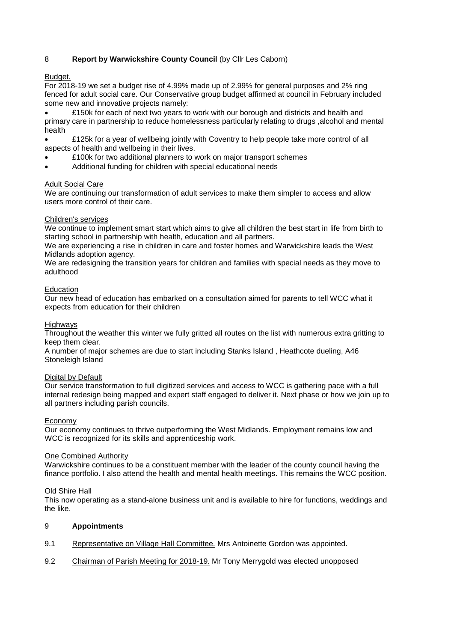# 8 **Report by Warwickshire County Council** (by Cllr Les Caborn)

## Budget.

For 2018-19 we set a budget rise of 4.99% made up of 2.99% for general purposes and 2% ring fenced for adult social care. Our Conservative group budget affirmed at council in February included some new and innovative projects namely:

• £150k for each of next two years to work with our borough and districts and health and primary care in partnership to reduce homelessness particularly relating to drugs ,alcohol and mental health

• £125k for a year of wellbeing jointly with Coventry to help people take more control of all aspects of health and wellbeing in their lives.

- £100k for two additional planners to work on major transport schemes
- Additional funding for children with special educational needs

#### Adult Social Care

We are continuing our transformation of adult services to make them simpler to access and allow users more control of their care.

## Children's services

We continue to implement smart start which aims to give all children the best start in life from birth to starting school in partnership with health, education and all partners.

We are experiencing a rise in children in care and foster homes and Warwickshire leads the West Midlands adoption agency.

We are redesigning the transition years for children and families with special needs as they move to adulthood

#### **Education**

Our new head of education has embarked on a consultation aimed for parents to tell WCC what it expects from education for their children

#### **Highways**

Throughout the weather this winter we fully gritted all routes on the list with numerous extra gritting to keep them clear.

A number of major schemes are due to start including Stanks Island , Heathcote dueling, A46 Stoneleigh Island

## Digital by Default

Our service transformation to full digitized services and access to WCC is gathering pace with a full internal redesign being mapped and expert staff engaged to deliver it. Next phase or how we join up to all partners including parish councils.

#### Economy

Our economy continues to thrive outperforming the West Midlands. Employment remains low and WCC is recognized for its skills and apprenticeship work.

#### One Combined Authority

Warwickshire continues to be a constituent member with the leader of the county council having the finance portfolio. I also attend the health and mental health meetings. This remains the WCC position.

#### Old Shire Hall

This now operating as a stand-alone business unit and is available to hire for functions, weddings and the like.

## 9 **Appointments**

- 9.1 Representative on Village Hall Committee. Mrs Antoinette Gordon was appointed.
- 9.2 Chairman of Parish Meeting for 2018-19. Mr Tony Merrygold was elected unopposed